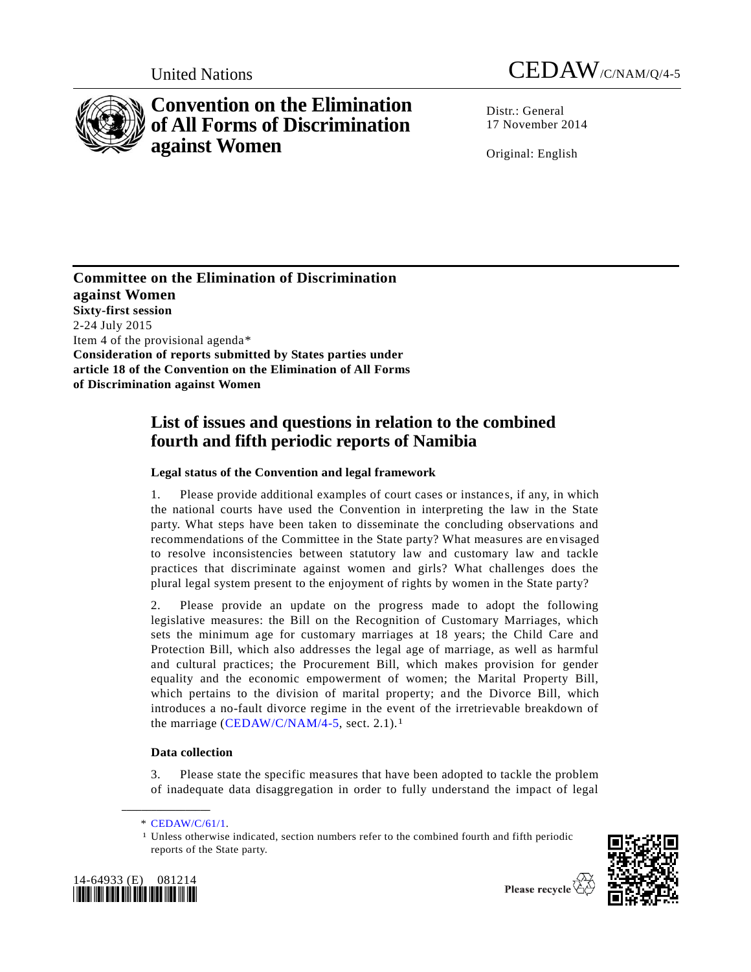

# **Convention on the Elimination of All Forms of Discrimination against Women**

United Nations CEDAW/C/NAM/Q/4-5

Distr.: General 17 November 2014

Original: English

**Committee on the Elimination of Discrimination against Women Sixty-first session** 2-24 July 2015 Item 4 of the provisional agenda\* **Consideration of reports submitted by States parties under article 18 of the Convention on the Elimination of All Forms of Discrimination against Women**

## **List of issues and questions in relation to the combined fourth and fifth periodic reports of Namibia**

## **Legal status of the Convention and legal framework**

1. Please provide additional examples of court cases or instances, if any, in which the national courts have used the Convention in interpreting the law in the State party. What steps have been taken to disseminate the concluding observations and recommendations of the Committee in the State party? What measures are envisaged to resolve inconsistencies between statutory law and customary law and tackle practices that discriminate against women and girls? What challenges does the plural legal system present to the enjoyment of rights by women in the State party?

2. Please provide an update on the progress made to adopt the following legislative measures: the Bill on the Recognition of Customary Marriages, which sets the minimum age for customary marriages at 18 years; the Child Care and Protection Bill, which also addresses the legal age of marriage, as well as harmful and cultural practices; the Procurement Bill, which makes provision for gender equality and the economic empowerment of women; the Marital Property Bill, which pertains to the division of marital property; and the Divorce Bill, which introduces a no-fault divorce regime in the event of the irretrievable breakdown of the marriage [\(CEDAW/C/NAM/4-5,](http://undocs.org/CEDAW/C/NAM/4) sect. 2.1).<sup>1</sup>

## **Data collection**

3. Please state the specific measures that have been adopted to tackle the problem of inadequate data disaggregation in order to fully understand the impact of legal

**\_\_\_\_\_\_\_\_\_\_\_\_\_\_\_\_\_\_**

<sup>1</sup> Unless otherwise indicated, section numbers refer to the combined fourth and fifth periodic reports of the State party.





Please recycle  $\overleftrightarrow{C}$ 

<sup>\*</sup> [CEDAW/C/61/1.](http://undocs.org/CEDAW/C/61/1)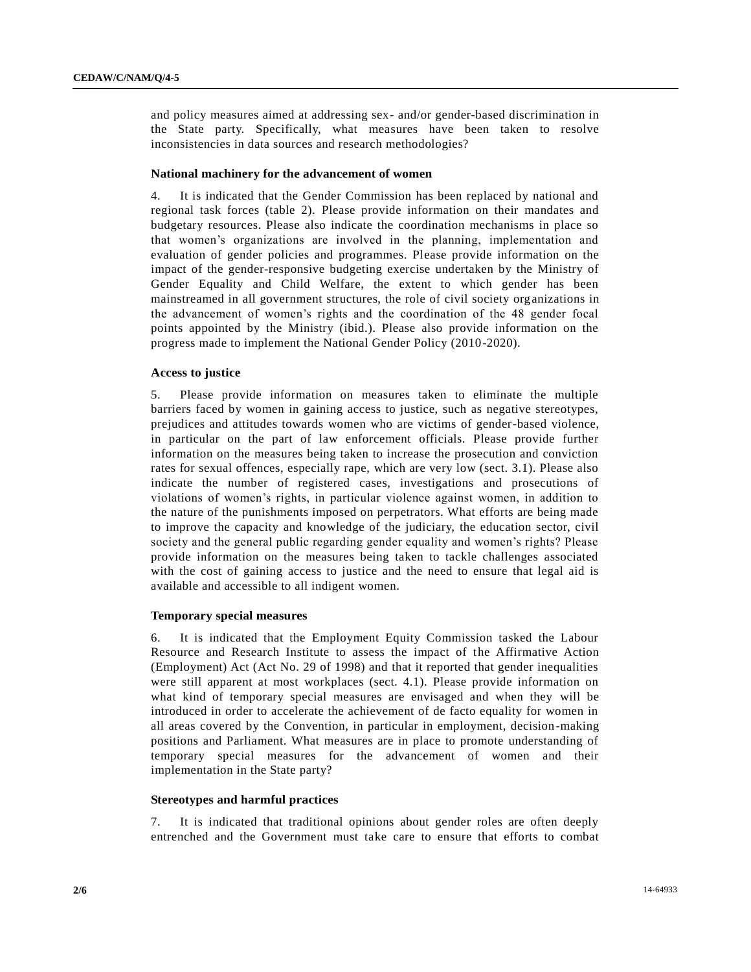and policy measures aimed at addressing sex- and/or gender-based discrimination in the State party. Specifically, what measures have been taken to resolve inconsistencies in data sources and research methodologies?

## **National machinery for the advancement of women**

4. It is indicated that the Gender Commission has been replaced by national and regional task forces (table 2). Please provide information on their mandates and budgetary resources. Please also indicate the coordination mechanisms in place so that women's organizations are involved in the planning, implementation and evaluation of gender policies and programmes. Please provide information on the impact of the gender-responsive budgeting exercise undertaken by the Ministry of Gender Equality and Child Welfare, the extent to which gender has been mainstreamed in all government structures, the role of civil society organizations in the advancement of women's rights and the coordination of the 48 gender focal points appointed by the Ministry (ibid.). Please also provide information on the progress made to implement the National Gender Policy (2010-2020).

## **Access to justice**

5. Please provide information on measures taken to eliminate the multiple barriers faced by women in gaining access to justice, such as negative stereotypes, prejudices and attitudes towards women who are victims of gender-based violence, in particular on the part of law enforcement officials. Please provide further information on the measures being taken to increase the prosecution and conviction rates for sexual offences, especially rape, which are very low (sect. 3.1). Please also indicate the number of registered cases, investigations and prosecutions of violations of women's rights, in particular violence against women, in addition to the nature of the punishments imposed on perpetrators. What efforts are being made to improve the capacity and knowledge of the judiciary, the education sector, civil society and the general public regarding gender equality and women's rights? Please provide information on the measures being taken to tackle challenges associated with the cost of gaining access to justice and the need to ensure that legal aid is available and accessible to all indigent women.

#### **Temporary special measures**

6. It is indicated that the Employment Equity Commission tasked the Labour Resource and Research Institute to assess the impact of the Affirmative Action (Employment) Act (Act No. 29 of 1998) and that it reported that gender inequalities were still apparent at most workplaces (sect. 4.1). Please provide information on what kind of temporary special measures are envisaged and when they will be introduced in order to accelerate the achievement of de facto equality for women in all areas covered by the Convention, in particular in employment, decision-making positions and Parliament. What measures are in place to promote understanding of temporary special measures for the advancement of women and their implementation in the State party?

## **Stereotypes and harmful practices**

7. It is indicated that traditional opinions about gender roles are often deeply entrenched and the Government must take care to ensure that efforts to combat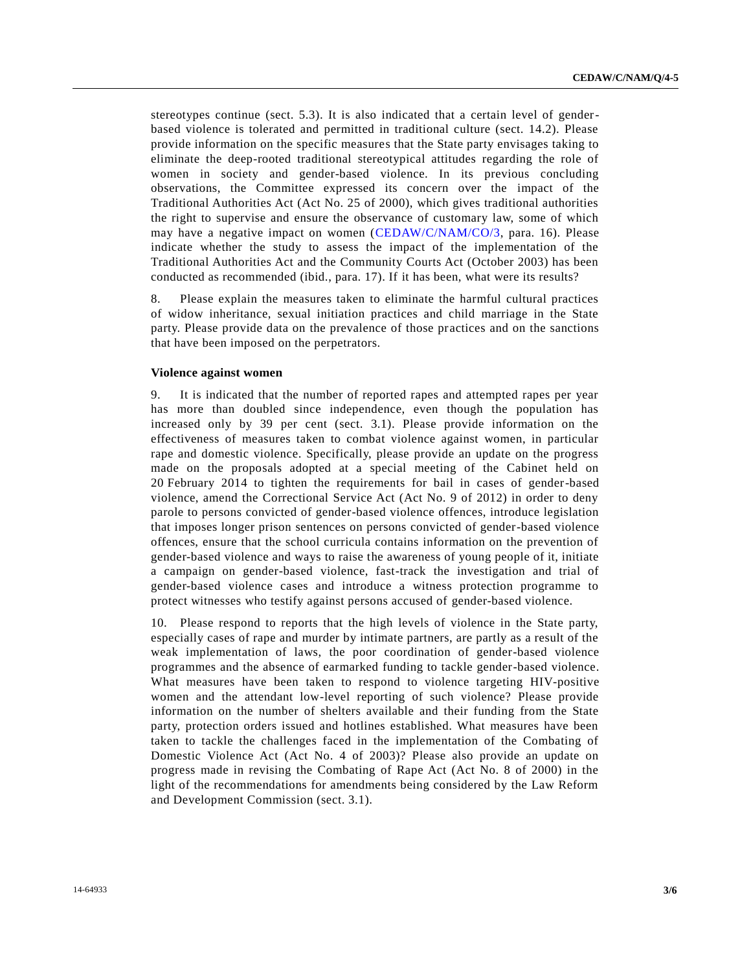stereotypes continue (sect. 5.3). It is also indicated that a certain level of genderbased violence is tolerated and permitted in traditional culture (sect. 14.2). Please provide information on the specific measures that the State party envisages taking to eliminate the deep-rooted traditional stereotypical attitudes regarding the role of women in society and gender-based violence. In its previous concluding observations, the Committee expressed its concern over the impact of the Traditional Authorities Act (Act No. 25 of 2000), which gives traditional authorities the right to supervise and ensure the observance of customary law, some of which may have a negative impact on women [\(CEDAW/C/NAM/CO/3,](http://undocs.org/CEDAW/C/NAM/CO/3) para. 16). Please indicate whether the study to assess the impact of the implementation of the Traditional Authorities Act and the Community Courts Act (October 2003) has been conducted as recommended (ibid., para. 17). If it has been, what were its results?

8. Please explain the measures taken to eliminate the harmful cultural practices of widow inheritance, sexual initiation practices and child marriage in the State party. Please provide data on the prevalence of those practices and on the sanctions that have been imposed on the perpetrators.

## **Violence against women**

9. It is indicated that the number of reported rapes and attempted rapes per year has more than doubled since independence, even though the population has increased only by 39 per cent (sect. 3.1). Please provide information on the effectiveness of measures taken to combat violence against women, in particular rape and domestic violence. Specifically, please provide an update on the progress made on the proposals adopted at a special meeting of the Cabinet held on 20 February 2014 to tighten the requirements for bail in cases of gender-based violence, amend the Correctional Service Act (Act No. 9 of 2012) in order to deny parole to persons convicted of gender-based violence offences, introduce legislation that imposes longer prison sentences on persons convicted of gender-based violence offences, ensure that the school curricula contains information on the prevention of gender-based violence and ways to raise the awareness of young people of it, initiate a campaign on gender-based violence, fast-track the investigation and trial of gender-based violence cases and introduce a witness protection programme to protect witnesses who testify against persons accused of gender-based violence.

10. Please respond to reports that the high levels of violence in the State party, especially cases of rape and murder by intimate partners, are partly as a result of the weak implementation of laws, the poor coordination of gender-based violence programmes and the absence of earmarked funding to tackle gender-based violence. What measures have been taken to respond to violence targeting HIV-positive women and the attendant low-level reporting of such violence? Please provide information on the number of shelters available and their funding from the State party, protection orders issued and hotlines established. What measures have been taken to tackle the challenges faced in the implementation of the Combating of Domestic Violence Act (Act No. 4 of 2003)? Please also provide an update on progress made in revising the Combating of Rape Act (Act No. 8 of 2000) in the light of the recommendations for amendments being considered by the Law Reform and Development Commission (sect. 3.1).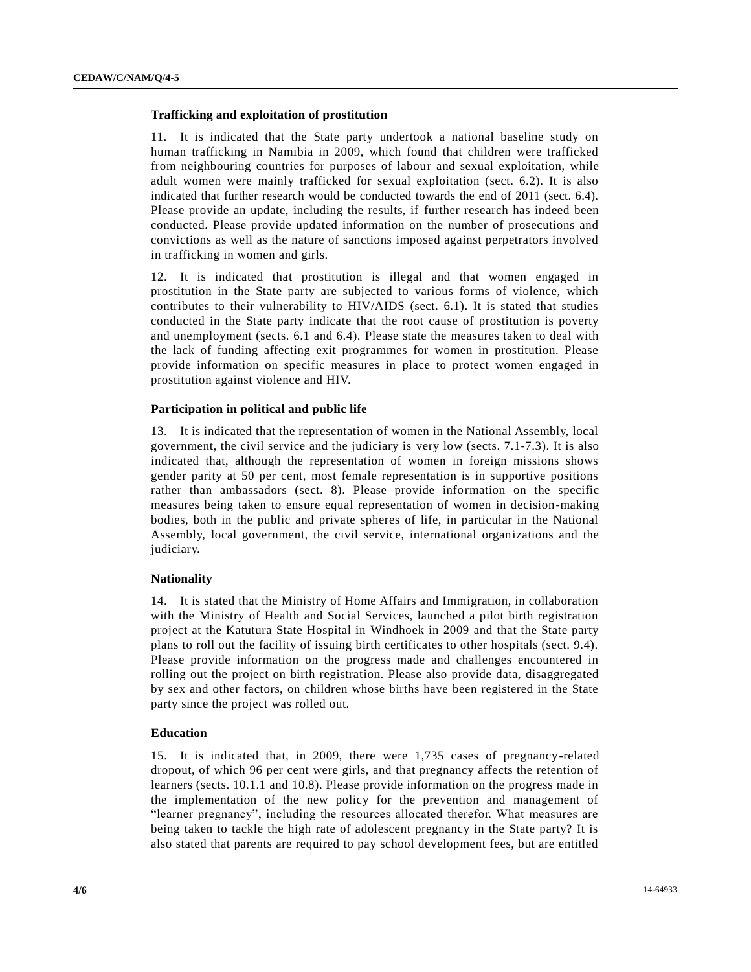## **Trafficking and exploitation of prostitution**

11. It is indicated that the State party undertook a national baseline study on human trafficking in Namibia in 2009, which found that children were trafficked from neighbouring countries for purposes of labour and sexual exploitation, while adult women were mainly trafficked for sexual exploitation (sect. 6.2). It is also indicated that further research would be conducted towards the end of 2011 (sect. 6.4). Please provide an update, including the results, if further research has indeed been conducted. Please provide updated information on the number of prosecutions and convictions as well as the nature of sanctions imposed against perpetrators involved in trafficking in women and girls.

12. It is indicated that prostitution is illegal and that women engaged in prostitution in the State party are subjected to various forms of violence, which contributes to their vulnerability to HIV/AIDS (sect. 6.1). It is stated that studies conducted in the State party indicate that the root cause of prostitution is poverty and unemployment (sects. 6.1 and 6.4). Please state the measures taken to deal with the lack of funding affecting exit programmes for women in prostitution. Please provide information on specific measures in place to protect women engaged in prostitution against violence and HIV.

## **Participation in political and public life**

13. It is indicated that the representation of women in the National Assembly, local government, the civil service and the judiciary is very low (sects. 7.1-7.3). It is also indicated that, although the representation of women in foreign missions shows gender parity at 50 per cent, most female representation is in supportive positions rather than ambassadors (sect. 8). Please provide information on the specific measures being taken to ensure equal representation of women in decision-making bodies, both in the public and private spheres of life, in particular in the National Assembly, local government, the civil service, international organizations and the judiciary.

#### **Nationality**

14. It is stated that the Ministry of Home Affairs and Immigration, in collaboration with the Ministry of Health and Social Services, launched a pilot birth registration project at the Katutura State Hospital in Windhoek in 2009 and that the State party plans to roll out the facility of issuing birth certificates to other hospitals (sect. 9.4). Please provide information on the progress made and challenges encountered in rolling out the project on birth registration. Please also provide data, disaggregated by sex and other factors, on children whose births have been registered in the State party since the project was rolled out.

#### **Education**

15. It is indicated that, in 2009, there were 1,735 cases of pregnancy-related dropout, of which 96 per cent were girls, and that pregnancy affects the retention of learners (sects. 10.1.1 and 10.8). Please provide information on the progress made in the implementation of the new policy for the prevention and management of "learner pregnancy", including the resources allocated therefor. What measures are being taken to tackle the high rate of adolescent pregnancy in the State party? It is also stated that parents are required to pay school development fees, but are entitled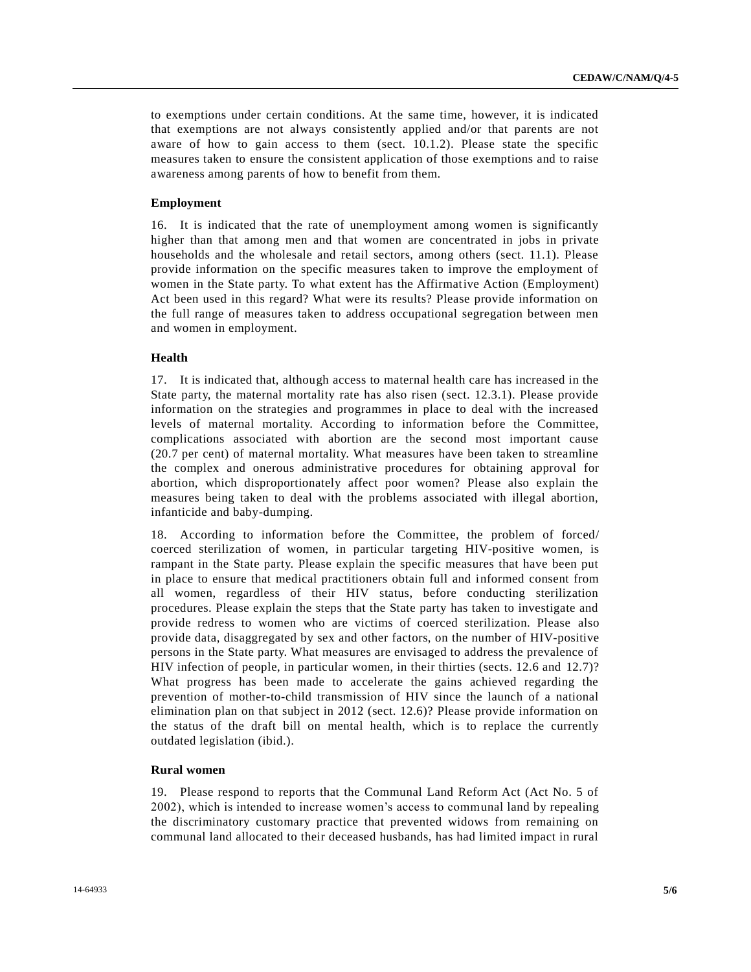to exemptions under certain conditions. At the same time, however, it is indicated that exemptions are not always consistently applied and/or that parents are not aware of how to gain access to them (sect. 10.1.2). Please state the specific measures taken to ensure the consistent application of those exemptions and to raise awareness among parents of how to benefit from them.

#### **Employment**

16. It is indicated that the rate of unemployment among women is significantly higher than that among men and that women are concentrated in jobs in private households and the wholesale and retail sectors, among others (sect. 11.1). Please provide information on the specific measures taken to improve the employment of women in the State party. To what extent has the Affirmative Action (Employment) Act been used in this regard? What were its results? Please provide information on the full range of measures taken to address occupational segregation between men and women in employment.

## **Health**

17. It is indicated that, although access to maternal health care has increased in the State party, the maternal mortality rate has also risen (sect. 12.3.1). Please provide information on the strategies and programmes in place to deal with the increased levels of maternal mortality. According to information before the Committee, complications associated with abortion are the second most important cause (20.7 per cent) of maternal mortality. What measures have been taken to streamline the complex and onerous administrative procedures for obtaining approval for abortion, which disproportionately affect poor women? Please also explain the measures being taken to deal with the problems associated with illegal abortion, infanticide and baby-dumping.

18. According to information before the Committee, the problem of forced/ coerced sterilization of women, in particular targeting HIV-positive women, is rampant in the State party. Please explain the specific measures that have been put in place to ensure that medical practitioners obtain full and informed consent from all women, regardless of their HIV status, before conducting sterilization procedures. Please explain the steps that the State party has taken to investigate and provide redress to women who are victims of coerced sterilization. Please also provide data, disaggregated by sex and other factors, on the number of HIV-positive persons in the State party. What measures are envisaged to address the prevalence of HIV infection of people, in particular women, in their thirties (sects. 12.6 and 12.7)? What progress has been made to accelerate the gains achieved regarding the prevention of mother-to-child transmission of HIV since the launch of a national elimination plan on that subject in 2012 (sect. 12.6)? Please provide information on the status of the draft bill on mental health, which is to replace the currently outdated legislation (ibid.).

#### **Rural women**

19. Please respond to reports that the Communal Land Reform Act (Act No. 5 of 2002), which is intended to increase women's access to communal land by repealing the discriminatory customary practice that prevented widows from remaining on communal land allocated to their deceased husbands, has had limited impact in rural